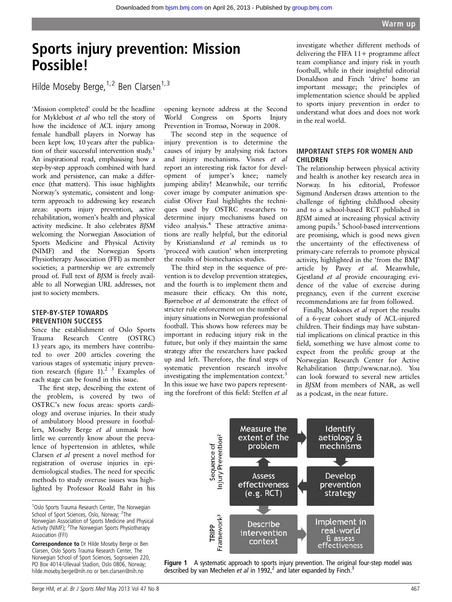# Sports injury prevention: Mission Possible!

Hilde Moseby Berge,  $1,2$  Ben Clarsen $1,3$ 

'Mission completed' could be the headline for Myklebust et al who tell the story of how the incidence of ACL injury among female handball players in Norway has been kept low, 10 years after the publication of their successful intervention study.<sup>1</sup> An inspirational read, emphasising how a step-by-step approach combined with hard work and persistence, can make a difference (that matters). This issue highlights Norway's systematic, consistent and longterm approach to addressing key research areas: sports injury prevention, active rehabilitation, women's health and physical activity medicine. It also celebrates BJSM welcoming the Norwegian Association of Sports Medicine and Physical Activity (NIMF) and the Norwegian Sports Physiotherapy Association (FFI) as member societies; a partnership we are extremely proud of. Full text of BJSM is freely available to all Norwegian URL addresses, not just to society members.

#### STEP-BY-STEP TOWARDS PREVENTION SUCCESS

Since the establishment of Oslo Sports Trauma Research Centre (OSTRC) 13 years ago, its members have contributed to over 200 articles covering the various stages of systematic injury prevention research (figure 1).<sup>2</sup> <sup>3</sup> Examples of each stage can be found in this issue.

The first step, describing the extent of the problem, is covered by two of OSTRC's new focus areas: sports cardiology and overuse injuries. In their study of ambulatory blood pressure in footballers, Moseby Berge et al unmask how little we currently know about the prevalence of hypertension in athletes, while Clarsen et al present a novel method for registration of overuse injuries in epidemiological studies. The need for specific methods to study overuse issues was highlighted by Professor Roald Bahr in his opening keynote address at the Second World Congress on Sports Injury Prevention in Tromsø, Norway in 2008.

The second step in the sequence of injury prevention is to determine the causes of injury by analysing risk factors and injury mechanisms. Visnes et al report an interesting risk factor for development of jumper's knee; namely jumping ability! Meanwhile, our terrific cover image by computer animation specialist Oliver Faul highlights the techniques used by OSTRC researchers to determine injury mechanisms based on video analysis.<sup>4</sup> These attractive animations are really helpful, but the editorial by Kristianslund et al reminds us to 'proceed with caution' when interpreting the results of biomechanics studies.

The third step in the sequence of prevention is to develop prevention strategies, and the fourth is to implement them and measure their efficacy. On this note, Bjørneboe et al demonstrate the effect of stricter rule enforcement on the number of injury situations in Norwegian professional football. This shows how referees may be important in reducing injury risk in the future, but only if they maintain the same strategy after the researchers have packed up and left. Therefore, the final steps of systematic prevention research involve investigating the implementation context.<sup>3</sup> In this issue we have two papers representing the forefront of this field: Steffen et al

investigate whether different methods of delivering the FIFA  $11+$  programme affect team compliance and injury risk in youth football, while in their insightful editorial Donaldson and Finch 'drive' home an important message; the principles of implementation science should be applied to sports injury prevention in order to understand what does and does not work in the real world.

### IMPORTANT STEPS FOR WOMEN AND CHILDREN

The relationship between physical activity and health is another key research area in Norway. In his editorial, Professor Sigmund Andersen draws attention to the challenge of fighting childhood obesity and to a school-based RCT published in BJSM aimed at increasing physical activity among pupils.<sup>5</sup> School-based interventions are promising, which is good news given the uncertainty of the effectiveness of primary-care referrals to promote physical activity, highlighted in the 'from the BMJ' article by Pavey et al. Meanwhile, Gjestland et al provide encouraging evidence of the value of exercise during pregnancy, even if the current exercise recommendations are far from followed.

Finally, Moksnes et al report the results of a 6-year cohort study of ACL-injured children. Their findings may have substantial implications on clinical practice in this field, something we have almost come to expect from the prolific group at the Norwegian Research Center for Active Rehabilitation [\(http://www.nar.no\)](http://www.nar.no). You can look forward to several new articles in BJSM from members of NAR, as well as a podcast, in the near future.



Figure 1 A systematic approach to sports injury prevention. The original four-step model was described by van Mechelen et al in 1992,<sup>2</sup> and later expanded by Finch.<sup>3</sup>

<sup>&</sup>lt;sup>1</sup>Oslo Sports Trauma Research Center, The Norwegian School of Sport Sciences, Oslo, Norway; <sup>2</sup>The Norwegian Association of Sports Medicine and Physical Activity (NIMF); <sup>3</sup>The Norwegian Sports Physiotherapy Association (FFI)

Correspondence to Dr Hilde Moseby Berge or Ben Clarsen, Oslo Sports Trauma Research Center, The Norwegian School of Sport Sciences, Sognsveien 220, PO Box 4014-Ullevaal Stadion, Oslo 0806, Norway; hilde.moseby.berge@nih.no or ben.clarsen@nih.no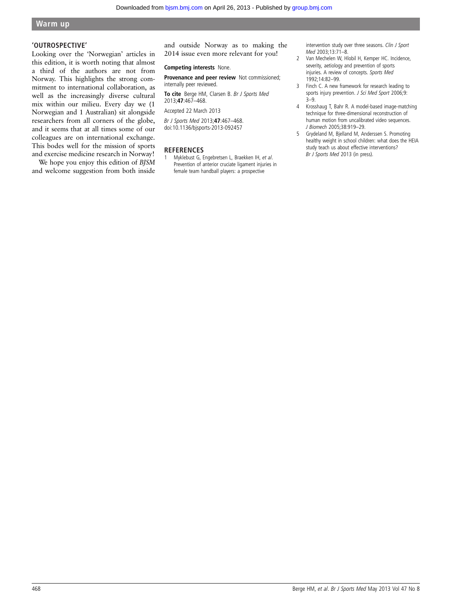## Warm up

#### 'OUTROSPECTIVE'

Looking over the 'Norwegian' articles in this edition, it is worth noting that almost a third of the authors are not from Norway. This highlights the strong commitment to international collaboration, as well as the increasingly diverse cultural mix within our milieu. Every day we (1 Norwegian and 1 Australian) sit alongside researchers from all corners of the globe, and it seems that at all times some of our colleagues are on international exchange. This bodes well for the mission of sports and exercise medicine research in Norway!

We hope you enjoy this edition of BJSM and welcome suggestion from both inside and outside Norway as to making the 2014 issue even more relevant for you!

#### Competing interests None.

Provenance and peer review Not commissioned; internally peer reviewed.

To cite Berge HM, Clarsen B. Br J Sports Med 2013;47:467–468.

Accepted 22 March 2013

Br J Sports Med 2013;47:467–468. doi:10.1136/bjsports-2013-092457

#### **REFERENCES**

1 Myklebust G, Engebretsen L, Braekken IH, et al. Prevention of anterior cruciate ligament injuries in female team handball players: a prospective

intervention study over three seasons. Clin J Sport Med 2003;13:71–8.

- 2 Van Mechelen W, Hlobil H, Kemper HC. Incidence, severity, aetiology and prevention of sports injuries. A review of concepts. Sports Med 1992;14:82–99.
- 3 Finch C. A new framework for research leading to sports injury prevention. J Sci Med Sport 2006;9: 3–9.
- 4 Krosshaug T, Bahr R. A model-based image-matching technique for three-dimensional reconstruction of human motion from uncalibrated video sequences. J Biomech 2005;38:919–29.
- 5 Grydeland M, Bjelland M, Anderssen S. Promoting healthy weight in school children: what does the HEIA study teach us about effective interventions? Br J Sports Med 2013 (in press).